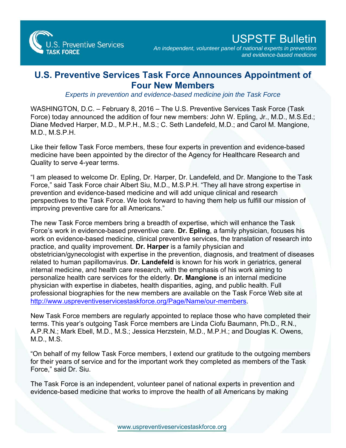

*An independent, volunteer panel of national experts in prevention and evidence-based medicine* 

## **U.S. Preventive Services Task Force Announces Appointment of Four New Members**

*Experts in prevention and evidence-based medicine join the Task Force*

WASHINGTON, D.C. – February 8, 2016 – The U.S. Preventive Services Task Force (Task Force) today announced the addition of four new members: John W. Epling, Jr., M.D., M.S.Ed.; Diane Medved Harper, M.D., M.P.H., M.S.; C. Seth Landefeld, M.D.; and Carol M. Mangione, M.D., M.S.P.H.

Like their fellow Task Force members, these four experts in prevention and evidence-based medicine have been appointed by the director of the Agency for Healthcare Research and Quality to serve 4-year terms.

"I am pleased to welcome Dr. Epling, Dr. Harper, Dr. Landefeld, and Dr. Mangione to the Task Force," said Task Force chair Albert Siu, M.D., M.S.P.H. "They all have strong expertise in prevention and evidence-based medicine and will add unique clinical and research perspectives to the Task Force. We look forward to having them help us fulfill our mission of improving preventive care for all Americans."

The new Task Force members bring a breadth of expertise, which will enhance the Task Force's work in evidence-based preventive care. **Dr. Epling**, a family physician, focuses his work on evidence-based medicine, clinical preventive services, the translation of research into practice, and quality improvement. **Dr. Harper** is a family physician and obstetrician/gynecologist with expertise in the prevention, diagnosis, and treatment of diseases related to human papillomavirus. **Dr. Landefeld** is known for his work in geriatrics, general internal medicine, and health care research, with the emphasis of his work aiming to personalize health care services for the elderly. **Dr. Mangione** is an internal medicine physician with expertise in diabetes, health disparities, aging, and public health. Full professional biographies for the new members are available on the Task Force Web site at <http://www.uspreventiveservicestaskforce.org/Page/Name/our-members>.

New Task Force members are regularly appointed to replace those who have completed their terms. This year's outgoing Task Force members are Linda Ciofu Baumann, Ph.D., R.N., A.P.R.N.; Mark Ebell, M.D., M.S.; Jessica Herzstein, M.D., M.P.H.; and Douglas K. Owens, M.D., M.S.

"On behalf of my fellow Task Force members, I extend our gratitude to the outgoing members for their years of service and for the important work they completed as members of the Task Force," said Dr. Siu.

The Task Force is an independent, volunteer panel of national experts in prevention and evidence-based medicine that works to improve the health of all Americans by making